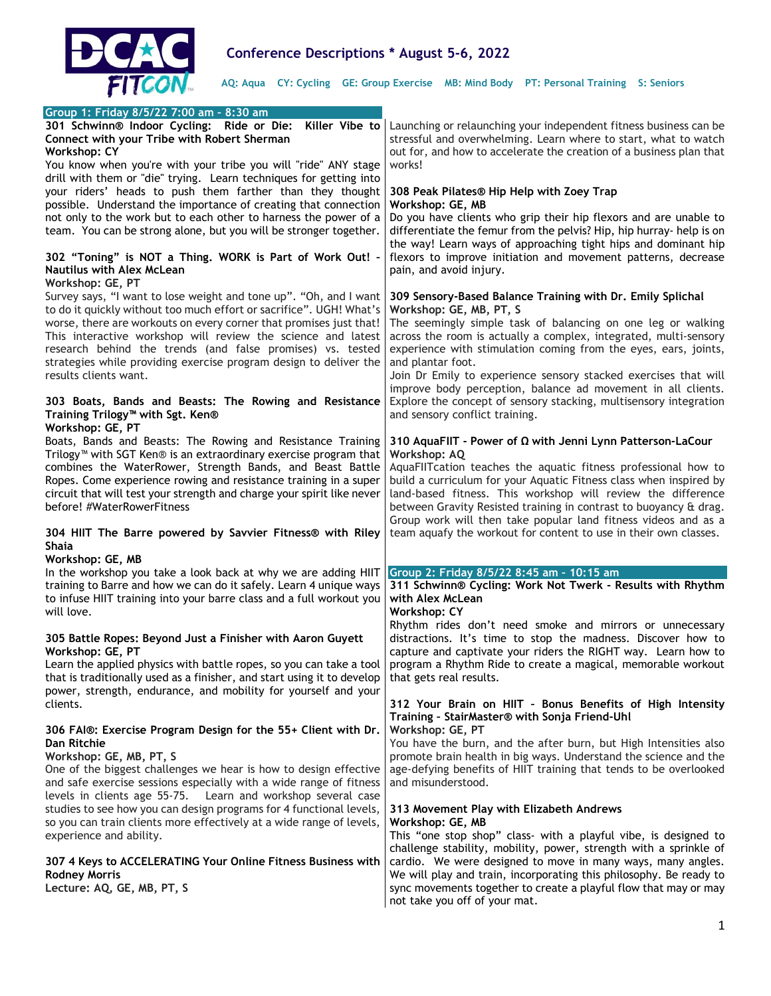

# Group 1: Friday 8/5/22 7:00 am – 8:30 am

| Group 1: Friday 8/5/22 7:00 am - 8:30 am                                                                                                    |                                                                                                                                                                                                             |
|---------------------------------------------------------------------------------------------------------------------------------------------|-------------------------------------------------------------------------------------------------------------------------------------------------------------------------------------------------------------|
| 301 Schwinn® Indoor Cycling: Ride or Die:<br>Killer Vibe to<br>Connect with your Tribe with Robert Sherman<br>Workshop: CY                  | Launching or relaunching your independent fitness business can be<br>stressful and overwhelming. Learn where to start, what to watch<br>out for, and how to accelerate the creation of a business plan that |
| You know when you're with your tribe you will "ride" ANY stage                                                                              | works!                                                                                                                                                                                                      |
| drill with them or "die" trying. Learn techniques for getting into<br>your riders' heads to push them farther than they thought             | 308 Peak Pilates® Hip Help with Zoey Trap                                                                                                                                                                   |
| possible. Understand the importance of creating that connection<br>not only to the work but to each other to harness the power of a         | Workshop: GE, MB<br>Do you have clients who grip their hip flexors and are unable to                                                                                                                        |
| team. You can be strong alone, but you will be stronger together.                                                                           | differentiate the femur from the pelvis? Hip, hip hurray- help is on                                                                                                                                        |
| 302 "Toning" is NOT a Thing. WORK is Part of Work Out! -                                                                                    | the way! Learn ways of approaching tight hips and dominant hip<br>flexors to improve initiation and movement patterns, decrease                                                                             |
| <b>Nautilus with Alex McLean</b><br>Workshop: GE, PT                                                                                        | pain, and avoid injury.                                                                                                                                                                                     |
| Survey says, "I want to lose weight and tone up". "Oh, and I want<br>to do it quickly without too much effort or sacrifice". UGH! What's    | 309 Sensory-Based Balance Training with Dr. Emily Splichal<br>Workshop: GE, MB, PT, S                                                                                                                       |
| worse, there are workouts on every corner that promises just that!                                                                          | The seemingly simple task of balancing on one leg or walking                                                                                                                                                |
| This interactive workshop will review the science and latest<br>research behind the trends (and false promises) vs. tested                  | across the room is actually a complex, integrated, multi-sensory<br>experience with stimulation coming from the eyes, ears, joints,                                                                         |
| strategies while providing exercise program design to deliver the<br>results clients want.                                                  | and plantar foot.<br>Join Dr Emily to experience sensory stacked exercises that will                                                                                                                        |
| 303 Boats, Bands and Beasts: The Rowing and Resistance                                                                                      | improve body perception, balance ad movement in all clients.<br>Explore the concept of sensory stacking, multisensory integration                                                                           |
| Training Trilogy <sup>™</sup> with Sgt. Ken®<br>Workshop: GE, PT                                                                            | and sensory conflict training.                                                                                                                                                                              |
| Boats, Bands and Beasts: The Rowing and Resistance Training<br>Trilogy™ with SGT Ken® is an extraordinary exercise program that             | 310 AquaFIIT - Power of Ω with Jenni Lynn Patterson-LaCour<br>Workshop: AQ                                                                                                                                  |
| combines the WaterRower, Strength Bands, and Beast Battle<br>Ropes. Come experience rowing and resistance training in a super               | AquaFIITcation teaches the aquatic fitness professional how to<br>build a curriculum for your Aquatic Fitness class when inspired by                                                                        |
| circuit that will test your strength and charge your spirit like never                                                                      | land-based fitness. This workshop will review the difference                                                                                                                                                |
| before! #WaterRowerFitness                                                                                                                  | between Gravity Resisted training in contrast to buoyancy & drag.<br>Group work will then take popular land fitness videos and as a                                                                         |
| 304 HIIT The Barre powered by Savvier Fitness® with Riley<br><b>Shaia</b>                                                                   | team aquafy the workout for content to use in their own classes.                                                                                                                                            |
| Workshop: GE, MB<br>In the workshop you take a look back at why we are adding HIIT                                                          | Group 2: Friday 8/5/22 8:45 am - 10:15 am                                                                                                                                                                   |
| training to Barre and how we can do it safely. Learn 4 unique ways<br>to infuse HIIT training into your barre class and a full workout you  | 311 Schwinn® Cycling: Work Not Twerk - Results with Rhythm<br>with Alex McLean                                                                                                                              |
| will love.                                                                                                                                  | Workshop: CY                                                                                                                                                                                                |
| 305 Battle Ropes: Beyond Just a Finisher with Aaron Guyett                                                                                  | Rhythm rides don't need smoke and mirrors or unnecessary<br>distractions. It's time to stop the madness. Discover how to                                                                                    |
| Workshop: GE, PT<br>Learn the applied physics with battle ropes, so you can take a tool                                                     | capture and captivate your riders the RIGHT way. Learn how to<br>program a Rhythm Ride to create a magical, memorable workout                                                                               |
| that is traditionally used as a finisher, and start using it to develop<br>power, strength, endurance, and mobility for yourself and your   | that gets real results.                                                                                                                                                                                     |
| clients.                                                                                                                                    | 312 Your Brain on HIIT - Bonus Benefits of High Intensity                                                                                                                                                   |
| 306 FAI®: Exercise Program Design for the 55+ Client with Dr.                                                                               | Training - StairMaster® with Sonja Friend-Uhl<br>Workshop: GE, PT                                                                                                                                           |
| Dan Ritchie<br>Workshop: GE, MB, PT, S                                                                                                      | You have the burn, and the after burn, but High Intensities also<br>promote brain health in big ways. Understand the science and the                                                                        |
| One of the biggest challenges we hear is how to design effective<br>and safe exercise sessions especially with a wide range of fitness      | age-defying benefits of HIIT training that tends to be overlooked<br>and misunderstood.                                                                                                                     |
| levels in clients age 55-75.<br>Learn and workshop several case                                                                             |                                                                                                                                                                                                             |
| studies to see how you can design programs for 4 functional levels,<br>so you can train clients more effectively at a wide range of levels, | 313 Movement Play with Elizabeth Andrews<br>Workshop: GE, MB                                                                                                                                                |
| experience and ability.                                                                                                                     | This "one stop shop" class- with a playful vibe, is designed to<br>challenge stability, mobility, power, strength with a sprinkle of                                                                        |
| 307 4 Keys to ACCELERATING Your Online Fitness Business with                                                                                | cardio. We were designed to move in many ways, many angles.                                                                                                                                                 |

Rodney Morris

Lecture: AQ, GE, MB, PT, S

We will play and train, incorporating this philosophy. Be ready to sync movements together to create a playful flow that may or may

not take you off of your mat.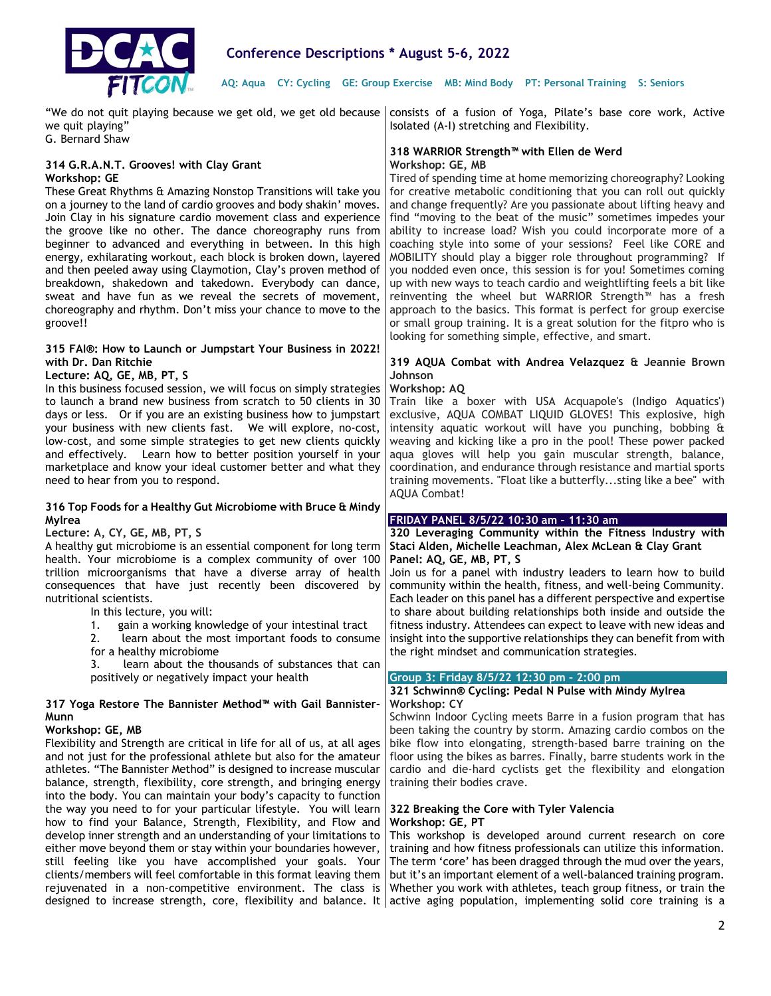

AQ: Aqua CY: Cycling GE: Group Exercise MB: Mind Body PT: Personal Training S: Seniors

"We do not quit playing because we get old, we get old because we quit playing" G. Bernard Shaw

# 314 G.R.A.N.T. Grooves! with Clay Grant Workshop: GE

These Great Rhythms & Amazing Nonstop Transitions will take you on a journey to the land of cardio grooves and body shakin' moves. Join Clay in his signature cardio movement class and experience the groove like no other. The dance choreography runs from beginner to advanced and everything in between. In this high energy, exhilarating workout, each block is broken down, layered and then peeled away using Claymotion, Clay's proven method of breakdown, shakedown and takedown. Everybody can dance, sweat and have fun as we reveal the secrets of movement, choreography and rhythm. Don't miss your chance to move to the groove!!

# 315 FAI®: How to Launch or Jumpstart Your Business in 2022! with Dr. Dan Ritchie

#### Lecture: AQ, GE, MB, PT, S

In this business focused session, we will focus on simply strategies to launch a brand new business from scratch to 50 clients in 30 days or less. Or if you are an existing business how to jumpstart your business with new clients fast. We will explore, no-cost, low-cost, and some simple strategies to get new clients quickly and effectively. Learn how to better position yourself in your marketplace and know your ideal customer better and what they need to hear from you to respond.

## 316 Top Foods for a Healthy Gut Microbiome with Bruce & Mindy Mylrea

## Lecture: A, CY, GE, MB, PT, S

A healthy gut microbiome is an essential component for long term health. Your microbiome is a complex community of over 100 trillion microorganisms that have a diverse array of health consequences that have just recently been discovered by nutritional scientists.

- In this lecture, you will:
- 1. gain a working knowledge of your intestinal tract
- 2. learn about the most important foods to consume for a healthy microbiome

3. learn about the thousands of substances that can positively or negatively impact your health

# 317 Yoga Restore The Bannister Method™ with Gail Bannister-Munn

#### Workshop: GE, MB

Flexibility and Strength are critical in life for all of us, at all ages and not just for the professional athlete but also for the amateur athletes. "The Bannister Method" is designed to increase muscular balance, strength, flexibility, core strength, and bringing energy into the body. You can maintain your body's capacity to function the way you need to for your particular lifestyle. You will learn how to find your Balance, Strength, Flexibility, and Flow and develop inner strength and an understanding of your limitations to either move beyond them or stay within your boundaries however, still feeling like you have accomplished your goals. Your clients/members will feel comfortable in this format leaving them rejuvenated in a non-competitive environment. The class is designed to increase strength, core, flexibility and balance. It active aging population, implementing solid core training is a

consists of a fusion of Yoga, Pilate's base core work, Active Isolated (A-I) stretching and Flexibility.

# 318 WARRIOR Strength™ with Ellen de Werd Workshop: GE, MB

Tired of spending time at home memorizing choreography? Looking for creative metabolic conditioning that you can roll out quickly and change frequently? Are you passionate about lifting heavy and find "moving to the beat of the music" sometimes impedes your ability to increase load? Wish you could incorporate more of a coaching style into some of your sessions? Feel like CORE and MOBILITY should play a bigger role throughout programming? If you nodded even once, this session is for you! Sometimes coming up with new ways to teach cardio and weightlifting feels a bit like reinventing the wheel but WARRIOR Strength™ has a fresh approach to the basics. This format is perfect for group exercise or small group training. It is a great solution for the fitpro who is looking for something simple, effective, and smart.

## 319 AQUA Combat with Andrea Velazquez & Jeannie Brown Johnson

#### Workshop: AQ

Train like a boxer with USA Acquapole's (Indigo Aquatics') exclusive, AQUA COMBAT LIQUID GLOVES! This explosive, high intensity aquatic workout will have you punching, bobbing & weaving and kicking like a pro in the pool! These power packed aqua gloves will help you gain muscular strength, balance, coordination, and endurance through resistance and martial sports training movements. "Float like a butterfly...sting like a bee" with AQUA Combat!

## FRIDAY PANEL 8/5/22 10:30 am – 11:30 am

320 Leveraging Community within the Fitness Industry with Staci Alden, Michelle Leachman, Alex McLean & Clay Grant Panel: AQ, GE, MB, PT, S

Join us for a panel with industry leaders to learn how to build community within the health, fitness, and well-being Community. Each leader on this panel has a different perspective and expertise to share about building relationships both inside and outside the fitness industry. Attendees can expect to leave with new ideas and insight into the supportive relationships they can benefit from with the right mindset and communication strategies.

#### Group 3: Friday 8/5/22 12:30 pm – 2:00 pm

#### 321 Schwinn® Cycling: Pedal N Pulse with Mindy Mylrea Workshop: CY

Schwinn Indoor Cycling meets Barre in a fusion program that has been taking the country by storm. Amazing cardio combos on the bike flow into elongating, strength-based barre training on the floor using the bikes as barres. Finally, barre students work in the cardio and die-hard cyclists get the flexibility and elongation training their bodies crave.

# 322 Breaking the Core with Tyler Valencia Workshop: GE, PT

This workshop is developed around current research on core training and how fitness professionals can utilize this information. The term 'core' has been dragged through the mud over the years, but it's an important element of a well-balanced training program. Whether you work with athletes, teach group fitness, or train the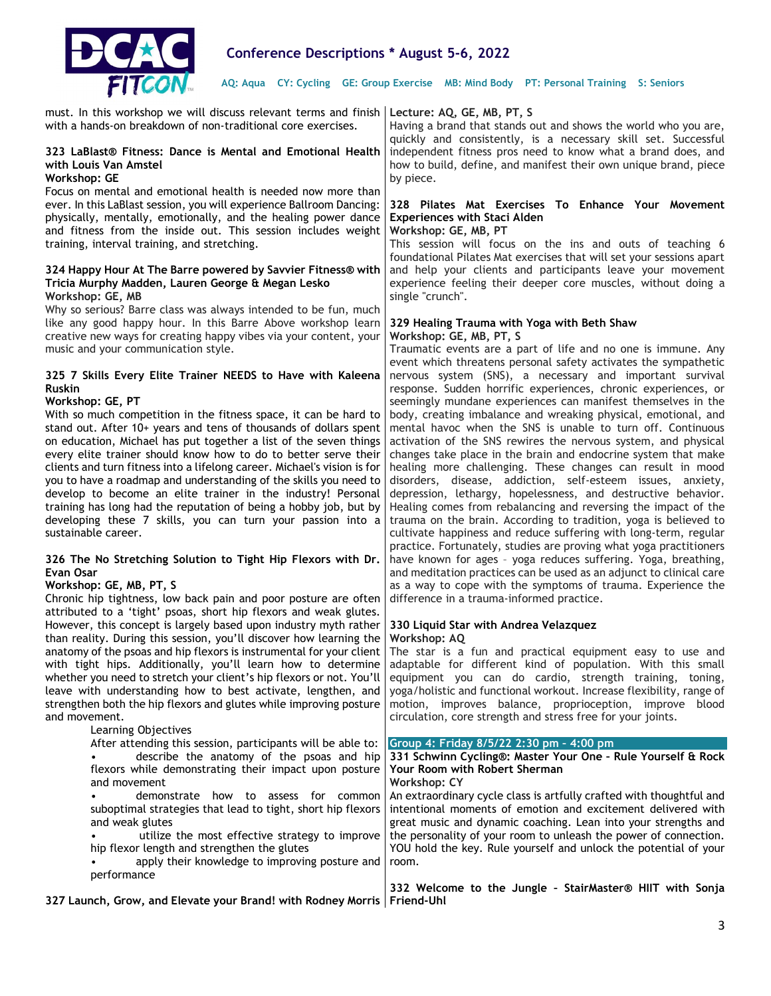

must. In this workshop we will discuss relevant terms and finish with a hands-on breakdown of non-traditional core exercises.

# 323 LaBlast® Fitness: Dance is Mental and Emotional Health with Louis Van Amstel

#### Workshop: GE

Focus on mental and emotional health is needed now more than ever. In this LaBlast session, you will experience Ballroom Dancing: physically, mentally, emotionally, and the healing power dance and fitness from the inside out. This session includes weight training, interval training, and stretching.

#### 324 Happy Hour At The Barre powered by Savvier Fitness® with Tricia Murphy Madden, Lauren George & Megan Lesko Workshop: GE, MB

Why so serious? Barre class was always intended to be fun, much like any good happy hour. In this Barre Above workshop learn creative new ways for creating happy vibes via your content, your music and your communication style.

## 325 7 Skills Every Elite Trainer NEEDS to Have with Kaleena Ruskin

#### Workshop: GE, PT

With so much competition in the fitness space, it can be hard to stand out. After 10+ years and tens of thousands of dollars spent on education, Michael has put together a list of the seven things every elite trainer should know how to do to better serve their clients and turn fitness into a lifelong career. Michael's vision is for you to have a roadmap and understanding of the skills you need to develop to become an elite trainer in the industry! Personal training has long had the reputation of being a hobby job, but by developing these 7 skills, you can turn your passion into a sustainable career.

# 326 The No Stretching Solution to Tight Hip Flexors with Dr. Evan Osar

# Workshop: GE, MB, PT, S

Chronic hip tightness, low back pain and poor posture are often attributed to a 'tight' psoas, short hip flexors and weak glutes. However, this concept is largely based upon industry myth rather than reality. During this session, you'll discover how learning the anatomy of the psoas and hip flexors is instrumental for your client with tight hips. Additionally, you'll learn how to determine whether you need to stretch your client's hip flexors or not. You'll leave with understanding how to best activate, lengthen, and strengthen both the hip flexors and glutes while improving posture and movement.

#### Learning Objectives

After attending this session, participants will be able to:

• describe the anatomy of the psoas and hip flexors while demonstrating their impact upon posture and movement

demonstrate how to assess for common suboptimal strategies that lead to tight, short hip flexors and weak glutes

utilize the most effective strategy to improve hip flexor length and strengthen the glutes

apply their knowledge to improving posture and performance

327 Launch, Grow, and Elevate your Brand! with Rodney Morris Friend-Uhl

Lecture: AQ, GE, MB, PT, S

Having a brand that stands out and shows the world who you are, quickly and consistently, is a necessary skill set. Successful independent fitness pros need to know what a brand does, and how to build, define, and manifest their own unique brand, piece by piece.

#### 328 Pilates Mat Exercises To Enhance Your Movement Experiences with Staci Alden Workshop: GE, MB, PT

This session will focus on the ins and outs of teaching 6 foundational Pilates Mat exercises that will set your sessions apart and help your clients and participants leave your movement experience feeling their deeper core muscles, without doing a single "crunch".

#### 329 Healing Trauma with Yoga with Beth Shaw Workshop: GE, MB, PT, S

Traumatic events are a part of life and no one is immune. Any event which threatens personal safety activates the sympathetic nervous system (SNS), a necessary and important survival response. Sudden horrific experiences, chronic experiences, or seemingly mundane experiences can manifest themselves in the body, creating imbalance and wreaking physical, emotional, and mental havoc when the SNS is unable to turn off. Continuous activation of the SNS rewires the nervous system, and physical changes take place in the brain and endocrine system that make healing more challenging. These changes can result in mood disorders, disease, addiction, self-esteem issues, anxiety, depression, lethargy, hopelessness, and destructive behavior. Healing comes from rebalancing and reversing the impact of the trauma on the brain. According to tradition, yoga is believed to cultivate happiness and reduce suffering with long-term, regular practice. Fortunately, studies are proving what yoga practitioners have known for ages – yoga reduces suffering. Yoga, breathing, and meditation practices can be used as an adjunct to clinical care as a way to cope with the symptoms of trauma. Experience the difference in a trauma-informed practice.

#### 330 Liquid Star with Andrea Velazquez Workshop: AQ

The star is a fun and practical equipment easy to use and adaptable for different kind of population. With this small equipment you can do cardio, strength training, toning, yoga/holistic and functional workout. Increase flexibility, range of motion, improves balance, proprioception, improve blood circulation, core strength and stress free for your joints.

#### Group 4: Friday 8/5/22 2:30 pm – 4:00 pm

# 331 Schwinn Cycling®: Master Your One – Rule Yourself & Rock Your Room with Robert Sherman

Workshop: CY

An extraordinary cycle class is artfully crafted with thoughtful and intentional moments of emotion and excitement delivered with great music and dynamic coaching. Lean into your strengths and the personality of your room to unleash the power of connection. YOU hold the key. Rule yourself and unlock the potential of your room.

332 Welcome to the Jungle – StairMaster® HIIT with Sonja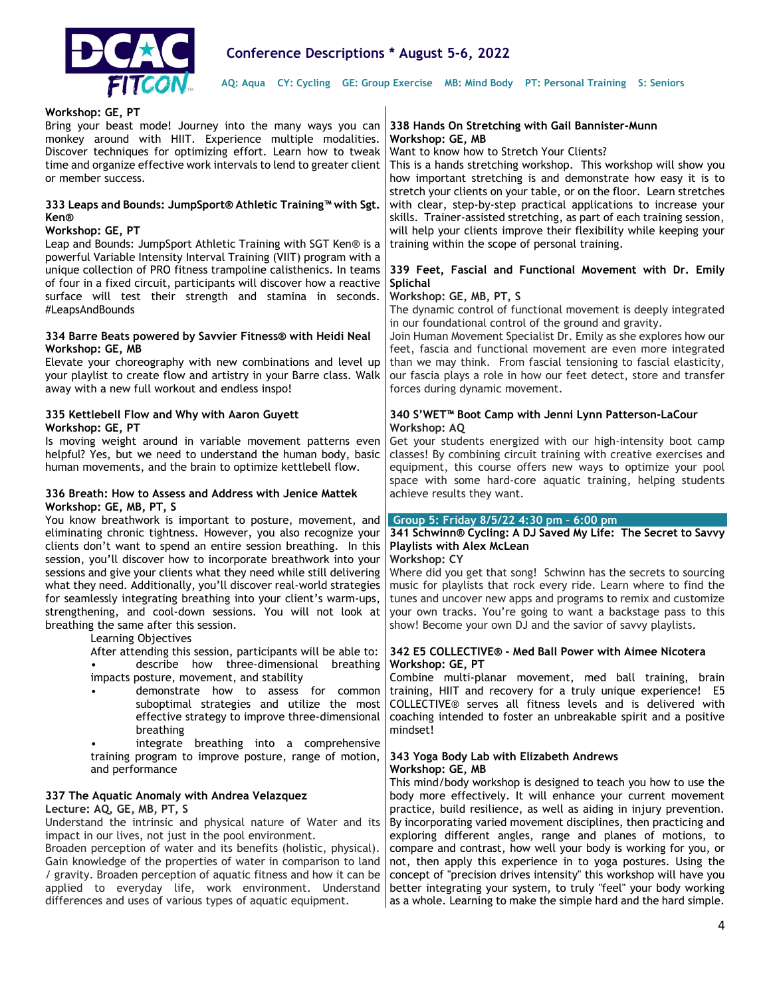

# Workshop: GE, PT

Bring your beast mode! Journey into the many ways you can monkey around with HIIT. Experience multiple modalities. Discover techniques for optimizing effort. Learn how to tweak time and organize effective work intervals to lend to greater client or member success.

# 333 Leaps and Bounds: JumpSport® Athletic Training™ with Sgt. Ken®

#### Workshop: GE, PT

Leap and Bounds: JumpSport Athletic Training with SGT Ken® is a powerful Variable Intensity Interval Training (VIIT) program with a unique collection of PRO fitness trampoline calisthenics. In teams of four in a fixed circuit, participants will discover how a reactive surface will test their strength and stamina in seconds. #LeapsAndBounds

#### 334 Barre Beats powered by Savvier Fitness® with Heidi Neal Workshop: GE, MB

Elevate your choreography with new combinations and level up your playlist to create flow and artistry in your Barre class. Walk away with a new full workout and endless inspo!

#### 335 Kettlebell Flow and Why with Aaron Guyett Workshop: GE, PT

Is moving weight around in variable movement patterns even helpful? Yes, but we need to understand the human body, basic human movements, and the brain to optimize kettlebell flow.

#### 336 Breath: How to Assess and Address with Jenice Mattek Workshop: GE, MB, PT, S

You know breathwork is important to posture, movement, and eliminating chronic tightness. However, you also recognize your clients don't want to spend an entire session breathing. In this session, you'll discover how to incorporate breathwork into your sessions and give your clients what they need while still delivering what they need. Additionally, you'll discover real-world strategies for seamlessly integrating breathing into your client's warm-ups, strengthening, and cool-down sessions. You will not look at breathing the same after this session.

# Learning Objectives

After attending this session, participants will be able to: describe how three-dimensional breathing impacts posture, movement, and stability

demonstrate how to assess for common suboptimal strategies and utilize the most effective strategy to improve three-dimensional breathing

• integrate breathing into a comprehensive training program to improve posture, range of motion, and performance

## 337 The Aquatic Anomaly with Andrea Velazquez

## Lecture: AQ, GE, MB, PT, S

Understand the intrinsic and physical nature of Water and its impact in our lives, not just in the pool environment.

Broaden perception of water and its benefits (holistic, physical). Gain knowledge of the properties of water in comparison to land / gravity. Broaden perception of aquatic fitness and how it can be applied to everyday life, work environment. Understand differences and uses of various types of aquatic equipment.

## 338 Hands On Stretching with Gail Bannister-Munn Workshop: GE, MB

Want to know how to Stretch Your Clients?

This is a hands stretching workshop. This workshop will show you how important stretching is and demonstrate how easy it is to stretch your clients on your table, or on the floor. Learn stretches with clear, step-by-step practical applications to increase your skills. Trainer-assisted stretching, as part of each training session, will help your clients improve their flexibility while keeping your training within the scope of personal training.

#### 339 Feet, Fascial and Functional Movement with Dr. Emily Splichal

# Workshop: GE, MB, PT, S

The dynamic control of functional movement is deeply integrated in our foundational control of the ground and gravity.

Join Human Movement Specialist Dr. Emily as she explores how our feet, fascia and functional movement are even more integrated than we may think. From fascial tensioning to fascial elasticity, our fascia plays a role in how our feet detect, store and transfer forces during dynamic movement.

#### 340 S'WET™ Boot Camp with Jenni Lynn Patterson-LaCour Workshop: AQ

Get your students energized with our high-intensity boot camp classes! By combining circuit training with creative exercises and equipment, this course offers new ways to optimize your pool space with some hard-core aquatic training, helping students achieve results they want.

#### Group 5: Friday 8/5/22 4:30 pm – 6:00 pm

# 341 Schwinn® Cycling: A DJ Saved My Life: The Secret to Savvy Playlists with Alex McLean

Workshop: CY

Where did you get that song! Schwinn has the secrets to sourcing music for playlists that rock every ride. Learn where to find the tunes and uncover new apps and programs to remix and customize your own tracks. You're going to want a backstage pass to this show! Become your own DJ and the savior of savvy playlists.

#### 342 E5 COLLECTIVE® - Med Ball Power with Aimee Nicotera Workshop: GE, PT

Combine multi-planar movement, med ball training, brain training, HIIT and recovery for a truly unique experience! E5 COLLECTIVE® serves all fitness levels and is delivered with coaching intended to foster an unbreakable spirit and a positive mindset!

## 343 Yoga Body Lab with Elizabeth Andrews Workshop: GE, MB

This mind/body workshop is designed to teach you how to use the body more effectively. It will enhance your current movement practice, build resilience, as well as aiding in injury prevention. By incorporating varied movement disciplines, then practicing and exploring different angles, range and planes of motions, to compare and contrast, how well your body is working for you, or not, then apply this experience in to yoga postures. Using the concept of "precision drives intensity" this workshop will have you better integrating your system, to truly "feel" your body working as a whole. Learning to make the simple hard and the hard simple.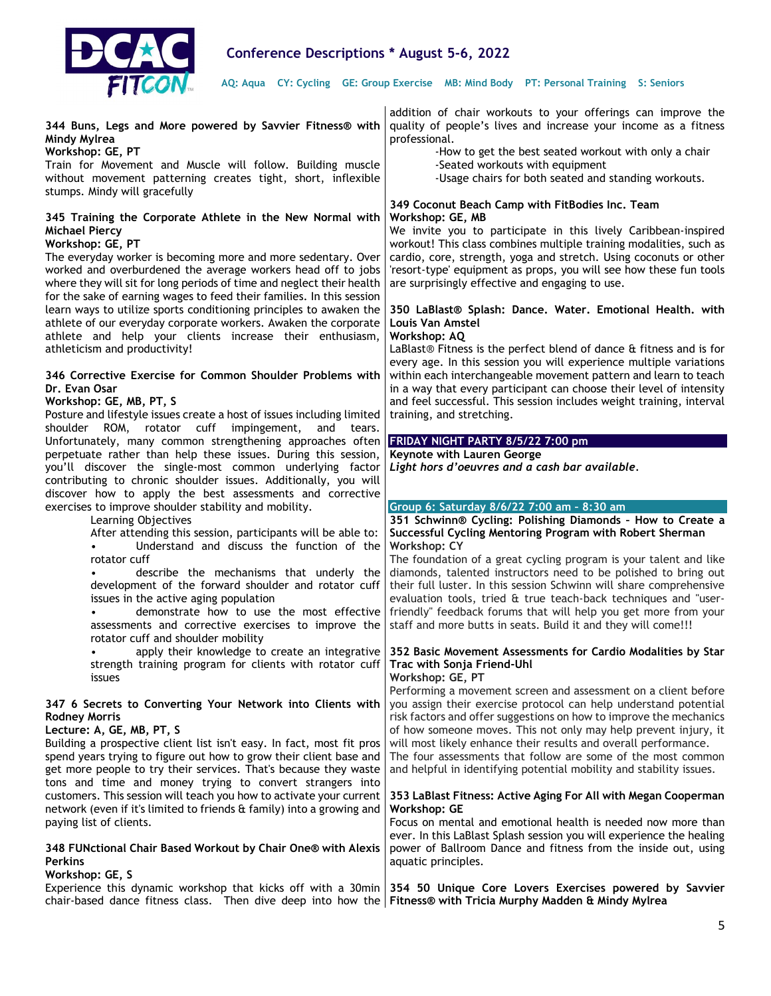

344 Buns, Legs and More powered by Savvier Fitness® with Mindy Mylrea

# Workshop: GE, PT

Train for Movement and Muscle will follow. Building muscle without movement patterning creates tight, short, inflexible stumps. Mindy will gracefully

# 345 Training the Corporate Athlete in the New Normal with Michael Piercy

#### Workshop: GE, PT

The everyday worker is becoming more and more sedentary. Over worked and overburdened the average workers head off to jobs where they will sit for long periods of time and neglect their health for the sake of earning wages to feed their families. In this session learn ways to utilize sports conditioning principles to awaken the athlete of our everyday corporate workers. Awaken the corporate athlete and help your clients increase their enthusiasm, athleticism and productivity!

#### 346 Corrective Exercise for Common Shoulder Problems with Dr. Evan Osar

#### Workshop: GE, MB, PT, S

Posture and lifestyle issues create a host of issues including limited shoulder ROM, rotator cuff impingement, and tears. Unfortunately, many common strengthening approaches often **FRIDAY NIGHT PARTY 8/5/22 7:00 pm** perpetuate rather than help these issues. During this session, you'll discover the single-most common underlying factor contributing to chronic shoulder issues. Additionally, you will discover how to apply the best assessments and corrective exercises to improve shoulder stability and mobility.

Learning Objectives

After attending this session, participants will be able to: Understand and discuss the function of the rotator cuff

describe the mechanisms that underly the development of the forward shoulder and rotator cuff issues in the active aging population

• demonstrate how to use the most effective assessments and corrective exercises to improve the rotator cuff and shoulder mobility

apply their knowledge to create an integrative strength training program for clients with rotator cuff issues

# 347 6 Secrets to Converting Your Network into Clients with Rodney Morris

#### Lecture: A, GE, MB, PT, S

Building a prospective client list isn't easy. In fact, most fit pros spend years trying to figure out how to grow their client base and get more people to try their services. That's because they waste tons and time and money trying to convert strangers into customers. This session will teach you how to activate your current network (even if it's limited to friends & family) into a growing and paying list of clients.

## 348 FUNctional Chair Based Workout by Chair One® with Alexis Perkins

#### Workshop: GE, S

Experience this dynamic workshop that kicks off with a 30min 354 50 Unique Core Lovers Exercises powered by Savvier chair-based dance fitness class. Then dive deep into how the Fitness® with Tricia Murphy Madden & Mindy Mylrea

addition of chair workouts to your offerings can improve the quality of people's lives and increase your income as a fitness professional.

> -How to get the best seated workout with only a chair -Seated workouts with equipment

-Usage chairs for both seated and standing workouts.

#### 349 Coconut Beach Camp with FitBodies Inc. Team Workshop: GE, MB

We invite you to participate in this lively Caribbean-inspired workout! This class combines multiple training modalities, such as cardio, core, strength, yoga and stretch. Using coconuts or other 'resort-type' equipment as props, you will see how these fun tools are surprisingly effective and engaging to use.

# 350 LaBlast® Splash: Dance. Water. Emotional Health. with Louis Van Amstel

#### Workshop: AQ

LaBlast<sup>®</sup> Fitness is the perfect blend of dance & fitness and is for every age. In this session you will experience multiple variations within each interchangeable movement pattern and learn to teach in a way that every participant can choose their level of intensity and feel successful. This session includes weight training, interval training, and stretching.

## Keynote with Lauren George

Light hors d'oeuvres and a cash bar available.

#### Group 6: Saturday 8/6/22 7:00 am – 8:30 am

351 Schwinn® Cycling: Polishing Diamonds – How to Create a Successful Cycling Mentoring Program with Robert Sherman Workshop: CY

The foundation of a great cycling program is your talent and like diamonds, talented instructors need to be polished to bring out their full luster. In this session Schwinn will share comprehensive evaluation tools, tried & true teach-back techniques and "userfriendly" feedback forums that will help you get more from your staff and more butts in seats. Build it and they will come!!!

# 352 Basic Movement Assessments for Cardio Modalities by Star Trac with Sonja Friend-Uhl

# Workshop: GE, PT

Performing a movement screen and assessment on a client before you assign their exercise protocol can help understand potential risk factors and offer suggestions on how to improve the mechanics of how someone moves. This not only may help prevent injury, it will most likely enhance their results and overall performance. The four assessments that follow are some of the most common and helpful in identifying potential mobility and stability issues.

#### 353 LaBlast Fitness: Active Aging For All with Megan Cooperman Workshop: GE

Focus on mental and emotional health is needed now more than ever. In this LaBlast Splash session you will experience the healing power of Ballroom Dance and fitness from the inside out, using aquatic principles.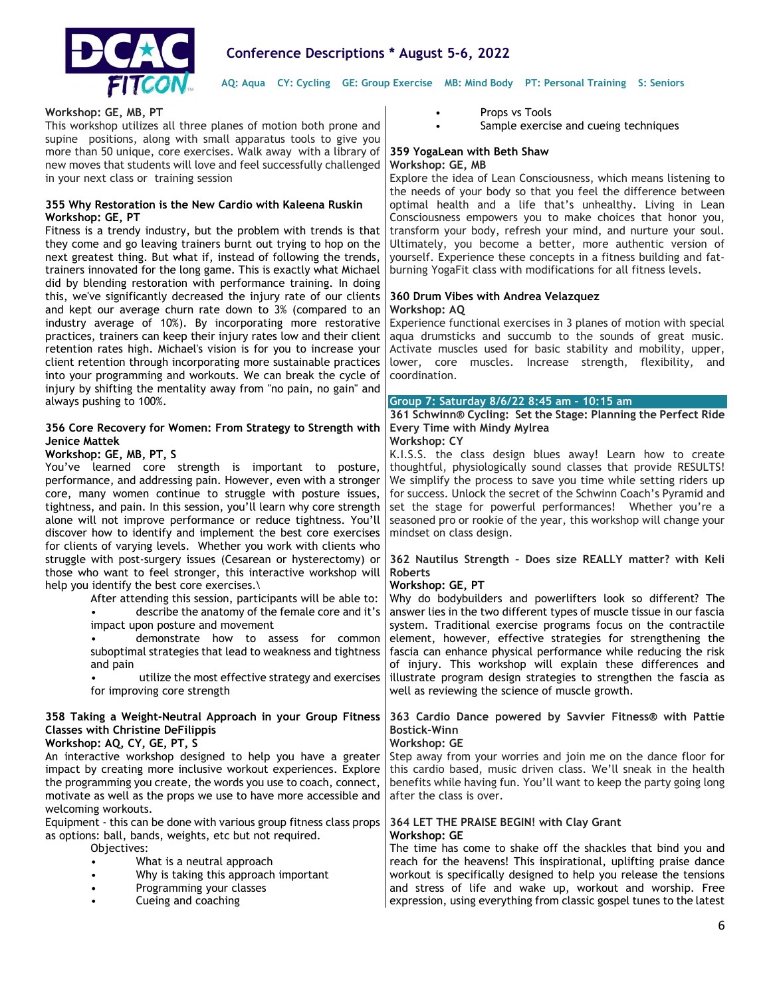

AQ: Aqua CY: Cycling GE: Group Exercise MB: Mind Body PT: Personal Training S: Seniors

# Workshop: GE, MB, PT

This workshop utilizes all three planes of motion both prone and supine positions, along with small apparatus tools to give you more than 50 unique, core exercises. Walk away with a library of new moves that students will love and feel successfully challenged in your next class or training session

#### 355 Why Restoration is the New Cardio with Kaleena Ruskin Workshop: GE, PT

Fitness is a trendy industry, but the problem with trends is that they come and go leaving trainers burnt out trying to hop on the next greatest thing. But what if, instead of following the trends, trainers innovated for the long game. This is exactly what Michael did by blending restoration with performance training. In doing this, we've significantly decreased the injury rate of our clients and kept our average churn rate down to 3% (compared to an industry average of 10%). By incorporating more restorative practices, trainers can keep their injury rates low and their client retention rates high. Michael's vision is for you to increase your client retention through incorporating more sustainable practices into your programming and workouts. We can break the cycle of injury by shifting the mentality away from "no pain, no gain" and always pushing to 100%.

# 356 Core Recovery for Women: From Strategy to Strength with Jenice Mattek

## Workshop: GE, MB, PT, S

You've learned core strength is important to posture, performance, and addressing pain. However, even with a stronger core, many women continue to struggle with posture issues, tightness, and pain. In this session, you'll learn why core strength alone will not improve performance or reduce tightness. You'll discover how to identify and implement the best core exercises for clients of varying levels. Whether you work with clients who struggle with post-surgery issues (Cesarean or hysterectomy) or those who want to feel stronger, this interactive workshop will help you identify the best core exercises.\

After attending this session, participants will be able to: • describe the anatomy of the female core and it's impact upon posture and movement

demonstrate how to assess for common suboptimal strategies that lead to weakness and tightness and pain

utilize the most effective strategy and exercises for improving core strength

# 358 Taking a Weight-Neutral Approach in your Group Fitness Classes with Christine DeFilippis

## Workshop: AQ, CY, GE, PT, S

An interactive workshop designed to help you have a greater impact by creating more inclusive workout experiences. Explore the programming you create, the words you use to coach, connect, motivate as well as the props we use to have more accessible and welcoming workouts.

Equipment - this can be done with various group fitness class props as options: ball, bands, weights, etc but not required.

- Objectives:
- What is a neutral approach
- Why is taking this approach important
- Programming your classes
- Cueing and coaching
- Props vs Tools
- Sample exercise and cueing techniques

#### 359 YogaLean with Beth Shaw Workshop: GE, MB

Explore the idea of Lean Consciousness, which means listening to the needs of your body so that you feel the difference between optimal health and a life that's unhealthy. Living in Lean Consciousness empowers you to make choices that honor you, transform your body, refresh your mind, and nurture your soul. Ultimately, you become a better, more authentic version of yourself. Experience these concepts in a fitness building and fatburning YogaFit class with modifications for all fitness levels.

# 360 Drum Vibes with Andrea Velazquez Workshop: AQ

Experience functional exercises in 3 planes of motion with special aqua drumsticks and succumb to the sounds of great music. Activate muscles used for basic stability and mobility, upper, lower, core muscles. Increase strength, flexibility, and coordination.

#### Group 7: Saturday 8/6/22 8:45 am – 10:15 am

# 361 Schwinn® Cycling: Set the Stage: Planning the Perfect Ride Every Time with Mindy Mylrea

Workshop: CY

K.I.S.S. the class design blues away! Learn how to create thoughtful, physiologically sound classes that provide RESULTS! We simplify the process to save you time while setting riders up for success. Unlock the secret of the Schwinn Coach's Pyramid and set the stage for powerful performances! Whether you're a seasoned pro or rookie of the year, this workshop will change your mindset on class design.

## 362 Nautilus Strength – Does size REALLY matter? with Keli Roberts

# Workshop: GE, PT

Why do bodybuilders and powerlifters look so different? The answer lies in the two different types of muscle tissue in our fascia system. Traditional exercise programs focus on the contractile element, however, effective strategies for strengthening the fascia can enhance physical performance while reducing the risk of injury. This workshop will explain these differences and illustrate program design strategies to strengthen the fascia as well as reviewing the science of muscle growth. 

# 363 Cardio Dance powered by Savvier Fitness® with Pattie Bostick-Winn

## Workshop: GE

Step away from your worries and join me on the dance floor for this cardio based, music driven class. We'll sneak in the health benefits while having fun. You'll want to keep the party going long after the class is over.

# 364 LET THE PRAISE BEGIN! with Clay Grant Workshop: GE

The time has come to shake off the shackles that bind you and reach for the heavens! This inspirational, uplifting praise dance workout is specifically designed to help you release the tensions and stress of life and wake up, workout and worship. Free expression, using everything from classic gospel tunes to the latest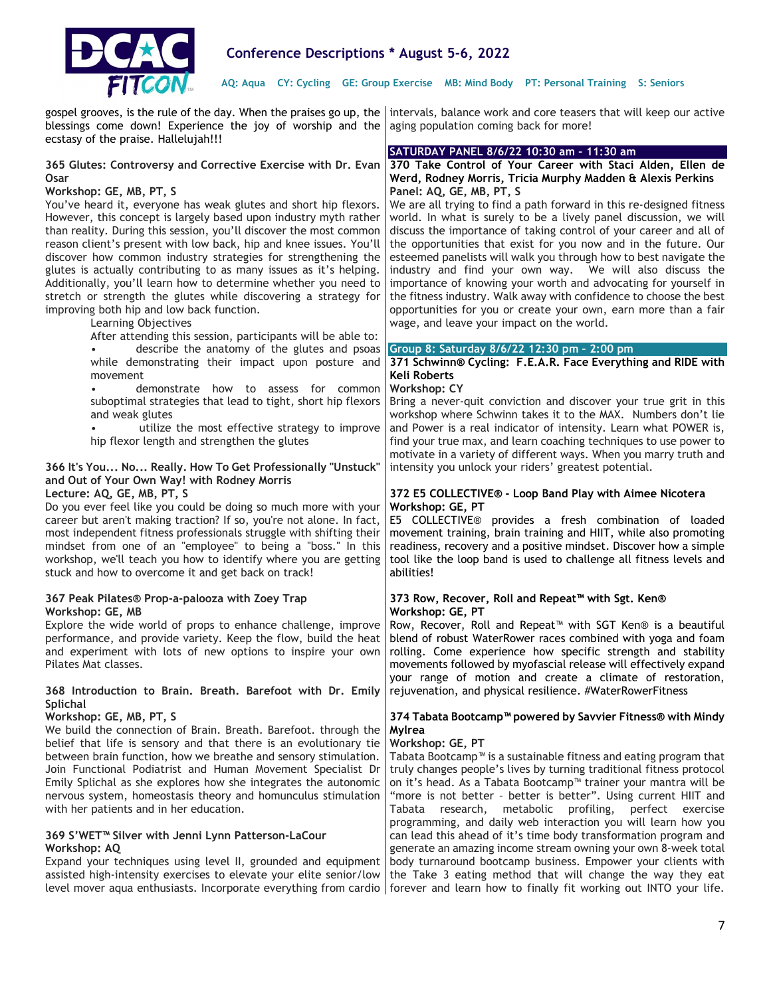

AQ: Aqua CY: Cycling GE: Group Exercise MB: Mind Body PT: Personal Training S: Seniors

gospel grooves, is the rule of the day. When the praises go up, the blessings come down! Experience the joy of worship and the ecstasy of the praise. Hallelujah!!! intervals, balance work and core teasers that will keep our active aging population coming back for more!

# 365 Glutes: Controversy and Corrective Exercise with Dr. Evan **Osar**

#### Workshop: GE, MB, PT, S

You've heard it, everyone has weak glutes and short hip flexors. However, this concept is largely based upon industry myth rather than reality. During this session, you'll discover the most common reason client's present with low back, hip and knee issues. You'll discover how common industry strategies for strengthening the glutes is actually contributing to as many issues as it's helping. Additionally, you'll learn how to determine whether you need to stretch or strength the glutes while discovering a strategy for improving both hip and low back function.

Learning Objectives

After attending this session, participants will be able to: • describe the anatomy of the glutes and psoas while demonstrating their impact upon posture and movement

demonstrate how to assess for common suboptimal strategies that lead to tight, short hip flexors and weak glutes

utilize the most effective strategy to improve hip flexor length and strengthen the glutes

# 366 It's You... No... Really. How To Get Professionally "Unstuck" and Out of Your Own Way! with Rodney Morris

#### Lecture: AQ, GE, MB, PT, S

Do you ever feel like you could be doing so much more with your career but aren't making traction? If so, you're not alone. In fact, most independent fitness professionals struggle with shifting their mindset from one of an "employee" to being a "boss." In this workshop, we'll teach you how to identify where you are getting stuck and how to overcome it and get back on track!

#### 367 Peak Pilates® Prop-a-palooza with Zoey Trap Workshop: GE, MB

Explore the wide world of props to enhance challenge, improve performance, and provide variety. Keep the flow, build the heat and experiment with lots of new options to inspire your own Pilates Mat classes.

# 368 Introduction to Brain. Breath. Barefoot with Dr. Emily Splichal

#### Workshop: GE, MB, PT, S

We build the connection of Brain. Breath. Barefoot. through the belief that life is sensory and that there is an evolutionary tie between brain function, how we breathe and sensory stimulation. Join Functional Podiatrist and Human Movement Specialist Dr Emily Splichal as she explores how she integrates the autonomic nervous system, homeostasis theory and homunculus stimulation with her patients and in her education.

#### 369 S'WET™ Silver with Jenni Lynn Patterson-LaCour Workshop: AQ

Expand your techniques using level II, grounded and equipment assisted high-intensity exercises to elevate your elite senior/low level mover aqua enthusiasts. Incorporate everything from cardio | forever and learn how to finally fit working out INTO your life.

SATURDAY PANEL 8/6/22 10:30 am – 11:30 am

#### 370 Take Control of Your Career with Staci Alden, Ellen de Werd, Rodney Morris, Tricia Murphy Madden & Alexis Perkins Panel: AQ, GE, MB, PT, S

We are all trying to find a path forward in this re-designed fitness world. In what is surely to be a lively panel discussion, we will discuss the importance of taking control of your career and all of the opportunities that exist for you now and in the future. Our esteemed panelists will walk you through how to best navigate the industry and find your own way. We will also discuss the importance of knowing your worth and advocating for yourself in the fitness industry. Walk away with confidence to choose the best opportunities for you or create your own, earn more than a fair wage, and leave your impact on the world.

#### Group 8: Saturday 8/6/22 12:30 pm – 2:00 pm

371 Schwinn® Cycling: F.E.A.R. Face Everything and RIDE with Keli Roberts

#### Workshop: CY

Bring a never-quit conviction and discover your true grit in this workshop where Schwinn takes it to the MAX. Numbers don't lie and Power is a real indicator of intensity. Learn what POWER is, find your true max, and learn coaching techniques to use power to motivate in a variety of different ways. When you marry truth and intensity you unlock your riders' greatest potential.

#### 372 E5 COLLECTIVE® - Loop Band Play with Aimee Nicotera Workshop: GE, PT

E5 COLLECTIVE® provides a fresh combination of loaded movement training, brain training and HIIT, while also promoting readiness, recovery and a positive mindset. Discover how a simple tool like the loop band is used to challenge all fitness levels and abilities!

#### 373 Row, Recover, Roll and Repeat™ with Sgt. Ken® Workshop: GE, PT

Row, Recover, Roll and Repeat™ with SGT Ken® is a beautiful blend of robust WaterRower races combined with yoga and foam rolling. Come experience how specific strength and stability movements followed by myofascial release will effectively expand your range of motion and create a climate of restoration, rejuvenation, and physical resilience. #WaterRowerFitness

## 374 Tabata Bootcamp™ powered by Savvier Fitness® with Mindy Mylrea

## Workshop: GE, PT

Tabata Bootcamp™ is a sustainable fitness and eating program that truly changes people's lives by turning traditional fitness protocol on it's head. As a Tabata Bootcamp™ trainer your mantra will be "more is not better - better is better". Using current HIIT and Tabata research, metabolic profiling, perfect exercise programming, and daily web interaction you will learn how you can lead this ahead of it's time body transformation program and generate an amazing income stream owning your own 8-week total body turnaround bootcamp business. Empower your clients with the Take 3 eating method that will change the way they eat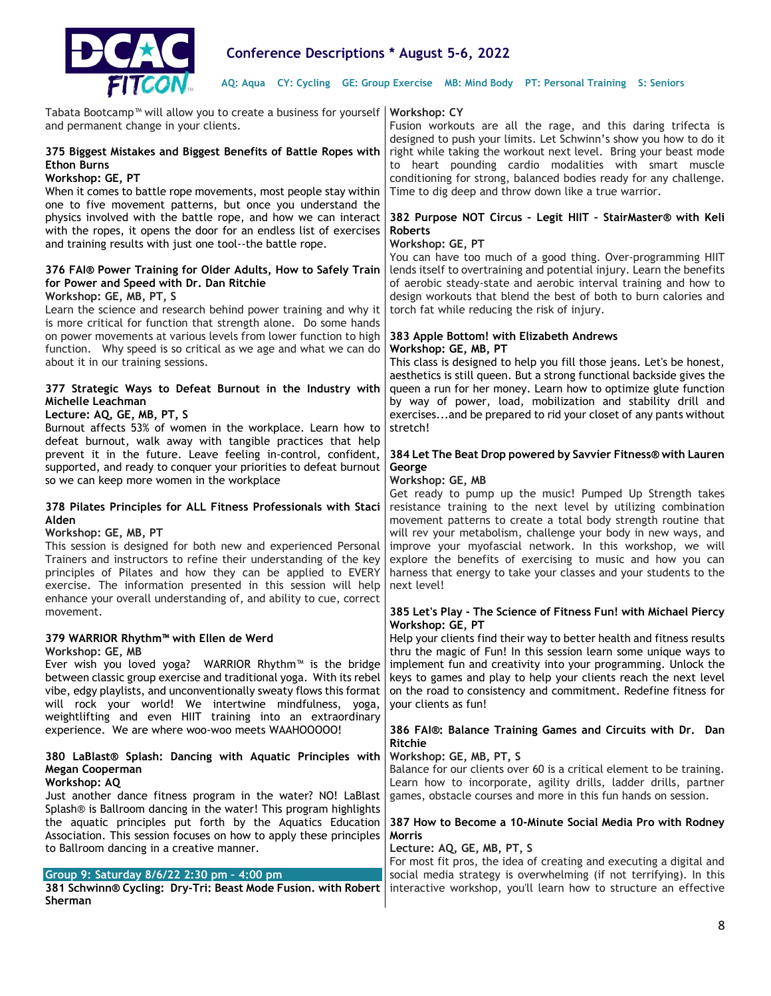

Tabata Bootcamp™ will allow you to create a business for yourself  $\vert$  **Workshop: CY** and permanent change in your clients.

## 375 Biggest Mistakes and Biggest Benefits of Battle Ropes with Ethon Burns

#### Workshop: GE, PT

When it comes to battle rope movements, most people stay within one to five movement patterns, but once you understand the physics involved with the battle rope, and how we can interact with the ropes, it opens the door for an endless list of exercises and training results with just one tool--the battle rope.

# 376 FAI® Power Training for Older Adults, How to Safely Train for Power and Speed with Dr. Dan Ritchie

# Workshop: GE, MB, PT, S

Learn the science and research behind power training and why it is more critical for function that strength alone. Do some hands on power movements at various levels from lower function to high function. Why speed is so critical as we age and what we can do about it in our training sessions.

# 377 Strategic Ways to Defeat Burnout in the Industry with Michelle Leachman

#### Lecture: AQ, GE, MB, PT, S

Burnout affects 53% of women in the workplace. Learn how to defeat burnout, walk away with tangible practices that help prevent it in the future. Leave feeling in-control, confident, supported, and ready to conquer your priorities to defeat burnout so we can keep more women in the workplace

## 378 Pilates Principles for ALL Fitness Professionals with Staci Alden

## Workshop: GE, MB, PT

This session is designed for both new and experienced Personal Trainers and instructors to refine their understanding of the key principles of Pilates and how they can be applied to EVERY exercise. The information presented in this session will help enhance your overall understanding of, and ability to cue, correct movement.

# 379 WARRIOR Rhythm™ with Ellen de Werd

#### Workshop: GE, MB

Ever wish you loved yoga? WARRIOR Rhythm™ is the bridge between classic group exercise and traditional yoga. With its rebel vibe, edgy playlists, and unconventionally sweaty flows this format will rock your world! We intertwine mindfulness, yoga, weightlifting and even HIIT training into an extraordinary experience. We are where woo-woo meets WAAHOOOOO!

# 380 LaBlast® Splash: Dancing with Aquatic Principles with Megan Cooperman

#### Workshop: AQ

Just another dance fitness program in the water? NO! LaBlast Splash® is Ballroom dancing in the water! This program highlights the aquatic principles put forth by the Aquatics Education Association. This session focuses on how to apply these principles to Ballroom dancing in a creative manner.

## Group 9: Saturday 8/6/22 2:30 pm – 4:00 pm

381 Schwinn® Cycling: Dry-Tri: Beast Mode Fusion. with Robert Sherman

Fusion workouts are all the rage, and this daring trifecta is designed to push your limits. Let Schwinn's show you how to do it right while taking the workout next level. Bring your beast mode to heart pounding cardio modalities with smart muscle conditioning for strong, balanced bodies ready for any challenge. Time to dig deep and throw down like a true warrior.

# 382 Purpose NOT Circus – Legit HIIT – StairMaster® with Keli Roberts

#### Workshop: GE, PT

You can have too much of a good thing. Over-programming HIIT lends itself to overtraining and potential injury. Learn the benefits of aerobic steady-state and aerobic interval training and how to design workouts that blend the best of both to burn calories and torch fat while reducing the risk of injury.

# 383 Apple Bottom! with Elizabeth Andrews Workshop: GE, MB, PT

This class is designed to help you fill those jeans. Let's be honest, aesthetics is still queen. But a strong functional backside gives the queen a run for her money. Learn how to optimize glute function by way of power, load, mobilization and stability drill and exercises...and be prepared to rid your closet of any pants without stretch!

# 384 Let The Beat Drop powered by Savvier Fitness® with Lauren George

#### Workshop: GE, MB

Get ready to pump up the music! Pumped Up Strength takes resistance training to the next level by utilizing combination movement patterns to create a total body strength routine that will rev your metabolism, challenge your body in new ways, and improve your myofascial network. In this workshop, we will explore the benefits of exercising to music and how you can harness that energy to take your classes and your students to the next level!

## 385 Let's Play - The Science of Fitness Fun! with Michael Piercy Workshop: GE, PT

Help your clients find their way to better health and fitness results thru the magic of Fun! In this session learn some unique ways to implement fun and creativity into your programming. Unlock the keys to games and play to help your clients reach the next level on the road to consistency and commitment. Redefine fitness for your clients as fun!

## 386 FAI®: Balance Training Games and Circuits with Dr. Dan Ritchie

## Workshop: GE, MB, PT, S

Balance for our clients over 60 is a critical element to be training. Learn how to incorporate, agility drills, ladder drills, partner games, obstacle courses and more in this fun hands on session.

#### 387 How to Become a 10-Minute Social Media Pro with Rodney Morris

# Lecture: AQ, GE, MB, PT, S

For most fit pros, the idea of creating and executing a digital and social media strategy is overwhelming (if not terrifying). In this interactive workshop, you'll learn how to structure an effective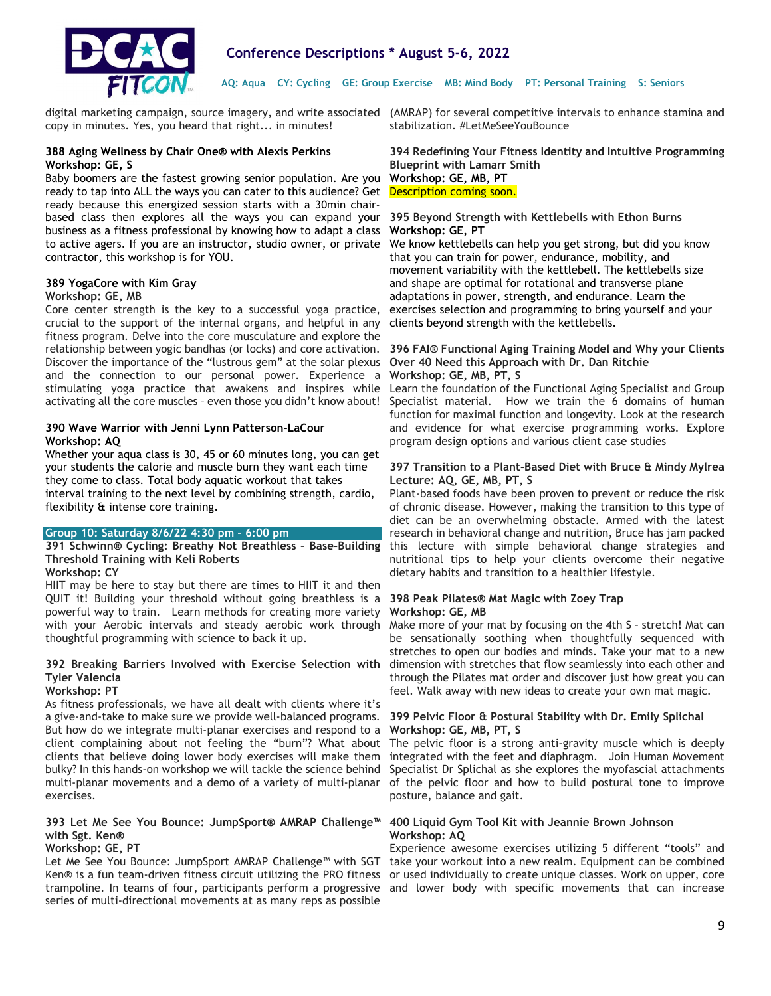

digital marketing campaign, source imagery, and write associated copy in minutes. Yes, you heard that right... in minutes!

#### 388 Aging Wellness by Chair One® with Alexis Perkins Workshop: GE, S

Baby boomers are the fastest growing senior population. Are you ready to tap into ALL the ways you can cater to this audience? Get ready because this energized session starts with a 30min chairbased class then explores all the ways you can expand your business as a fitness professional by knowing how to adapt a class to active agers. If you are an instructor, studio owner, or private contractor, this workshop is for YOU.

# 389 YogaCore with Kim Gray

## Workshop: GE, MB

Core center strength is the key to a successful yoga practice, crucial to the support of the internal organs, and helpful in any fitness program. Delve into the core musculature and explore the relationship between yogic bandhas (or locks) and core activation. Discover the importance of the "lustrous gem" at the solar plexus and the connection to our personal power. Experience a stimulating yoga practice that awakens and inspires while activating all the core muscles – even those you didn't know about!

#### 390 Wave Warrior with Jenni Lynn Patterson-LaCour Workshop: AQ

Whether your aqua class is 30, 45 or 60 minutes long, you can get your students the calorie and muscle burn they want each time they come to class. Total body aquatic workout that takes interval training to the next level by combining strength, cardio, flexibility & intense core training.

## Group 10: Saturday 8/6/22 4:30 pm – 6:00 pm

391 Schwinn® Cycling: Breathy Not Breathless – Base-Building Threshold Training with Keli Roberts Workshop: CY

HIIT may be here to stay but there are times to HIIT it and then QUIT it! Building your threshold without going breathless is a powerful way to train. Learn methods for creating more variety with your Aerobic intervals and steady aerobic work through thoughtful programming with science to back it up.

# 392 Breaking Barriers Involved with Exercise Selection with Tyler Valencia

# Workshop: PT

As fitness professionals, we have all dealt with clients where it's a give-and-take to make sure we provide well-balanced programs. But how do we integrate multi-planar exercises and respond to a client complaining about not feeling the "burn"? What about clients that believe doing lower body exercises will make them bulky? In this hands-on workshop we will tackle the science behind multi-planar movements and a demo of a variety of multi-planar exercises.

# 393 Let Me See You Bounce: JumpSport® AMRAP Challenge™ with Sgt. Ken®

## Workshop: GE, PT

Let Me See You Bounce: JumpSport AMRAP Challenge™ with SGT Ken® is a fun team-driven fitness circuit utilizing the PRO fitness trampoline. In teams of four, participants perform a progressive series of multi-directional movements at as many reps as possible

(AMRAP) for several competitive intervals to enhance stamina and stabilization. #LetMeSeeYouBounce

394 Redefining Your Fitness Identity and Intuitive Programming Blueprint with Lamarr Smith Workshop: GE, MB, PT Description coming soon.

#### 395 Beyond Strength with Kettlebells with Ethon Burns Workshop: GE, PT

We know kettlebells can help you get strong, but did you know that you can train for power, endurance, mobility, and movement variability with the kettlebell. The kettlebells size and shape are optimal for rotational and transverse plane adaptations in power, strength, and endurance. Learn the exercises selection and programming to bring yourself and your clients beyond strength with the kettlebells.

#### 396 FAI® Functional Aging Training Model and Why your Clients Over 40 Need this Approach with Dr. Dan Ritchie Workshop: GE, MB, PT, S

Learn the foundation of the Functional Aging Specialist and Group Specialist material. How we train the 6 domains of human function for maximal function and longevity. Look at the research and evidence for what exercise programming works. Explore program design options and various client case studies

#### 397 Transition to a Plant-Based Diet with Bruce & Mindy Mylrea Lecture: AQ, GE, MB, PT, S

Plant-based foods have been proven to prevent or reduce the risk of chronic disease. However, making the transition to this type of diet can be an overwhelming obstacle. Armed with the latest research in behavioral change and nutrition, Bruce has jam packed this lecture with simple behavioral change strategies and nutritional tips to help your clients overcome their negative dietary habits and transition to a healthier lifestyle.

#### 398 Peak Pilates® Mat Magic with Zoey Trap Workshop: GE, MB

Make more of your mat by focusing on the 4th S – stretch! Mat can be sensationally soothing when thoughtfully sequenced with stretches to open our bodies and minds. Take your mat to a new dimension with stretches that flow seamlessly into each other and through the Pilates mat order and discover just how great you can feel. Walk away with new ideas to create your own mat magic.

## 399 Pelvic Floor & Postural Stability with Dr. Emily Splichal Workshop: GE, MB, PT, S

The pelvic floor is a strong anti-gravity muscle which is deeply integrated with the feet and diaphragm. Join Human Movement Specialist Dr Splichal as she explores the myofascial attachments of the pelvic floor and how to build postural tone to improve posture, balance and gait.

## 400 Liquid Gym Tool Kit with Jeannie Brown Johnson Workshop: AQ

Experience awesome exercises utilizing 5 different "tools" and take your workout into a new realm. Equipment can be combined or used individually to create unique classes. Work on upper, core and lower body with specific movements that can increase